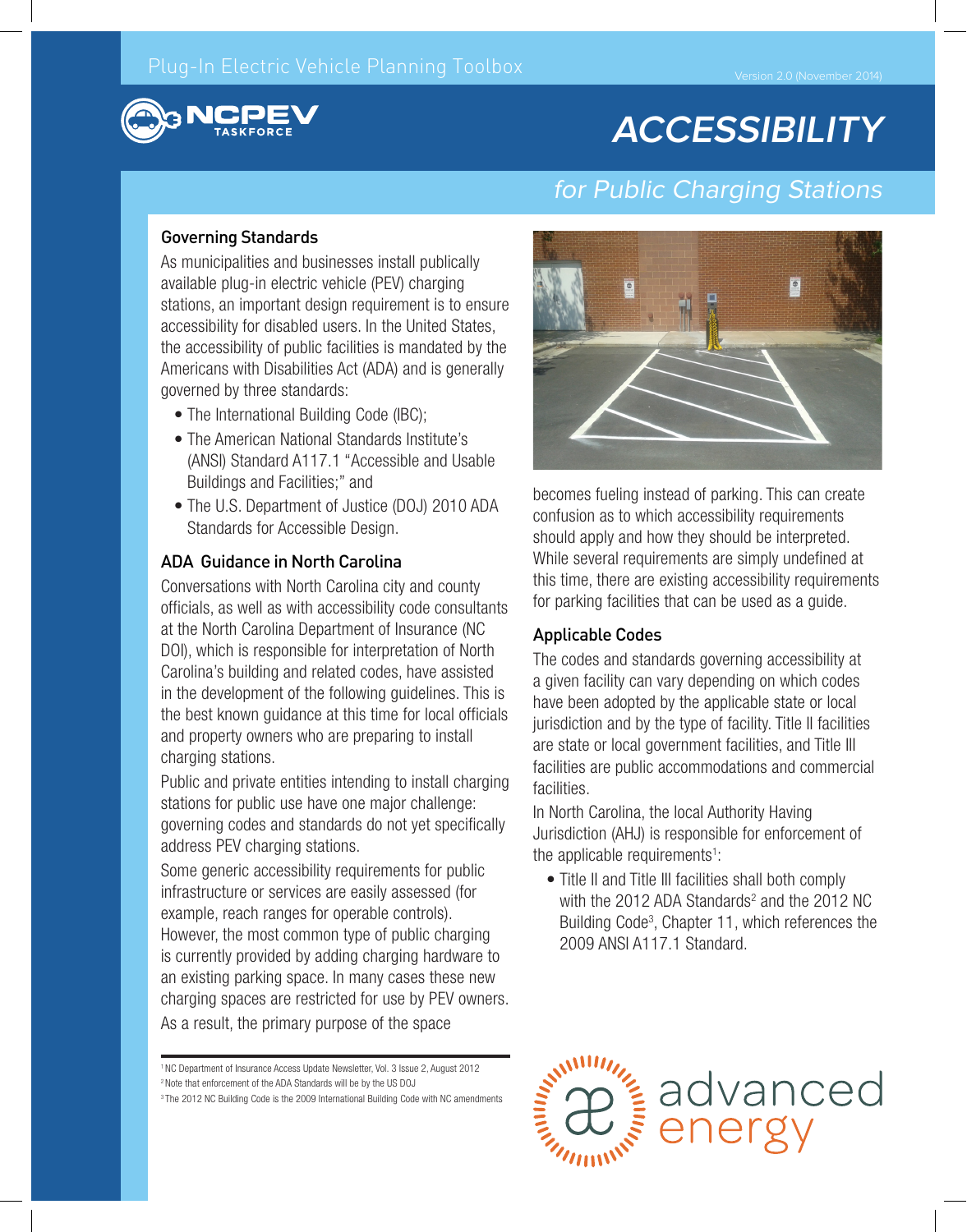# **ACCESSIBILITY**

# for Public Charging Stations

#### Governing Standards

As municipalities and businesses install publically available plug-in electric vehicle (PEV) charging stations, an important design requirement is to ensure accessibility for disabled users. In the United States, the accessibility of public facilities is mandated by the Americans with Disabilities Act (ADA) and is generally governed by three standards:

- The International Building Code (IBC);
- The American National Standards Institute's (ANSI) Standard A117.1 "Accessible and Usable Buildings and Facilities;" and
- The U.S. Department of Justice (DOJ) 2010 ADA Standards for Accessible Design.

#### ADA Guidance in North Carolina

Conversations with North Carolina city and county officials, as well as with accessibility code consultants at the North Carolina Department of Insurance (NC DOI), which is responsible for interpretation of North Carolina's building and related codes, have assisted in the development of the following guidelines. This is the best known guidance at this time for local officials and property owners who are preparing to install charging stations.

Public and private entities intending to install charging stations for public use have one major challenge: governing codes and standards do not yet specifically address PEV charging stations.

Some generic accessibility requirements for public infrastructure or services are easily assessed (for example, reach ranges for operable controls). However, the most common type of public charging is currently provided by adding charging hardware to an existing parking space. In many cases these new charging spaces are restricted for use by PEV owners. As a result, the primary purpose of the space



becomes fueling instead of parking. This can create confusion as to which accessibility requirements should apply and how they should be interpreted. While several requirements are simply undefined at this time, there are existing accessibility requirements for parking facilities that can be used as a guide.

#### Applicable Codes

The codes and standards governing accessibility at a given facility can vary depending on which codes have been adopted by the applicable state or local jurisdiction and by the type of facility. Title II facilities are state or local government facilities, and Title III facilities are public accommodations and commercial facilities.

In North Carolina, the local Authority Having Jurisdiction (AHJ) is responsible for enforcement of the applicable requirements<sup>1</sup>:

• Title II and Title III facilities shall both comply with the 2012 ADA Standards<sup>2</sup> and the 2012 NC Building Code<sup>3</sup>, Chapter 11, which references the 2009 ANSI A117.1 Standard.



<sup>3</sup> The 2012 NC Building Code is the 2009 International Building Code with NC amendments

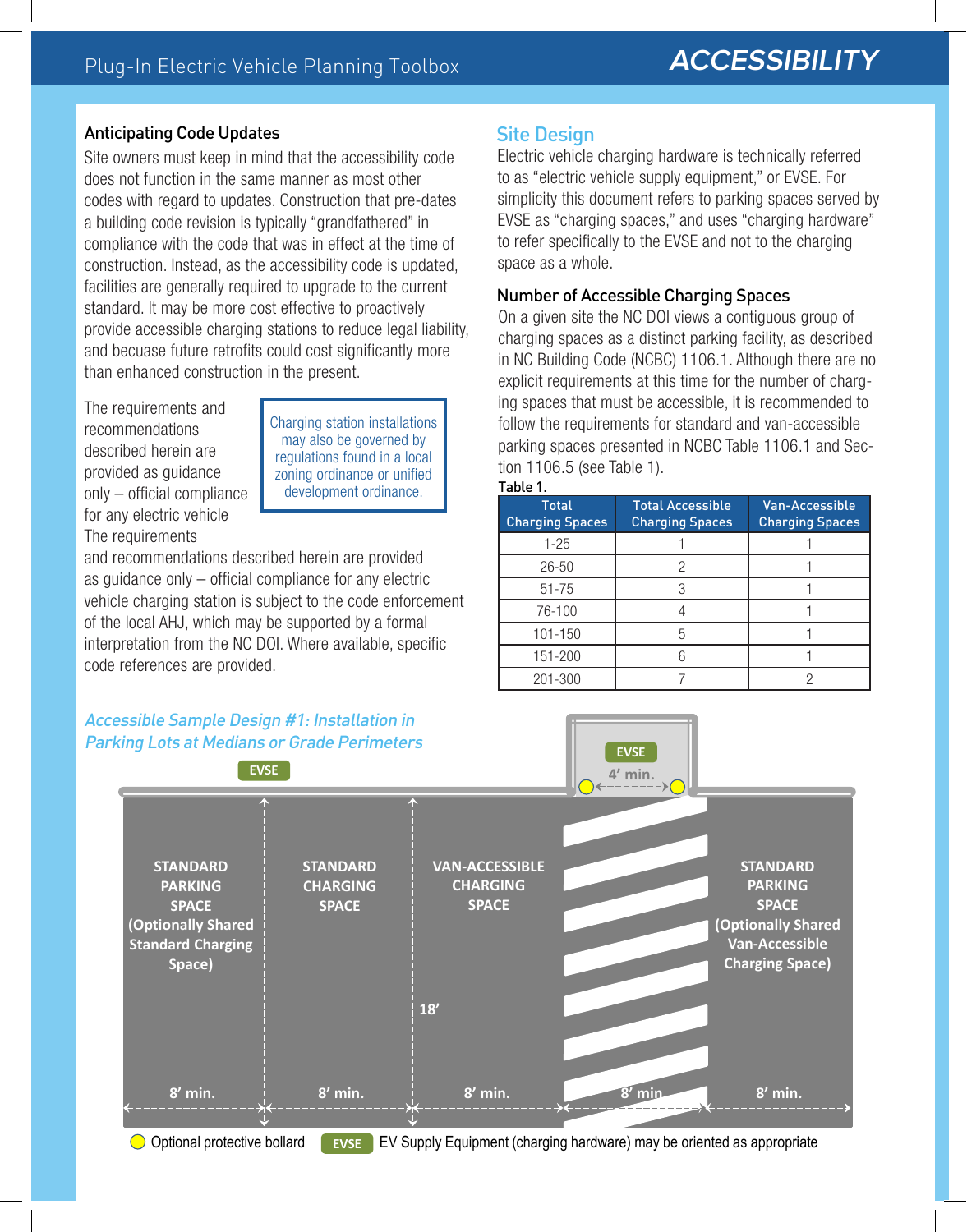#### Anticipating Code Updates

Site owners must keep in mind that the accessibility code does not function in the same manner as most other codes with regard to updates. Construction that pre-dates a building code revision is typically "grandfathered" in compliance with the code that was in effect at the time of construction. Instead, as the accessibility code is updated, facilities are generally required to upgrade to the current standard. It may be more cost effective to proactively provide accessible charging stations to reduce legal liability, and becuase future retrofits could cost significantly more than enhanced construction in the present.

The requirements and recommendations described herein are provided as guidance only – official compliance for any electric vehicle The requirements

Charging station installations may also be governed by regulations found in a local zoning ordinance or unified development ordinance.

and recommendations described herein are provided as guidance only – official compliance for any electric vehicle charging station is subject to the code enforcement of the local AHJ, which may be supported by a formal interpretation from the NC DOI. Where available, specific code references are provided.

### Site Design

Electric vehicle charging hardware is technically referred to as "electric vehicle supply equipment," or EVSE. For simplicity this document refers to parking spaces served by EVSE as "charging spaces," and uses "charging hardware" to refer specifically to the EVSE and not to the charging space as a whole.

#### Number of Accessible Charging Spaces

On a given site the NC DOI views a contiguous group of charging spaces as a distinct parking facility, as described in NC Building Code (NCBC) 1106.1. Although there are no explicit requirements at this time for the number of charging spaces that must be accessible, it is recommended to follow the requirements for standard and van-accessible parking spaces presented in NCBC Table 1106.1 and Section 1106.5 (see Table 1).



| Total<br><b>Charging Spaces</b> | Total Accessible<br><b>Charging Spaces</b> | <b>Van-Accessible</b><br><b>Charging Spaces</b> |
|---------------------------------|--------------------------------------------|-------------------------------------------------|
| $1 - 25$                        |                                            |                                                 |
| $26 - 50$                       |                                            |                                                 |
| $51 - 75$                       |                                            |                                                 |
| 76-100                          |                                            |                                                 |
| 101-150                         |                                            |                                                 |
| 151-200                         | Բ                                          |                                                 |
| 201-300                         |                                            |                                                 |



O Optional protective bollard **EVSE** EV Supply Equipment (charging hardware) may be oriented as appropriate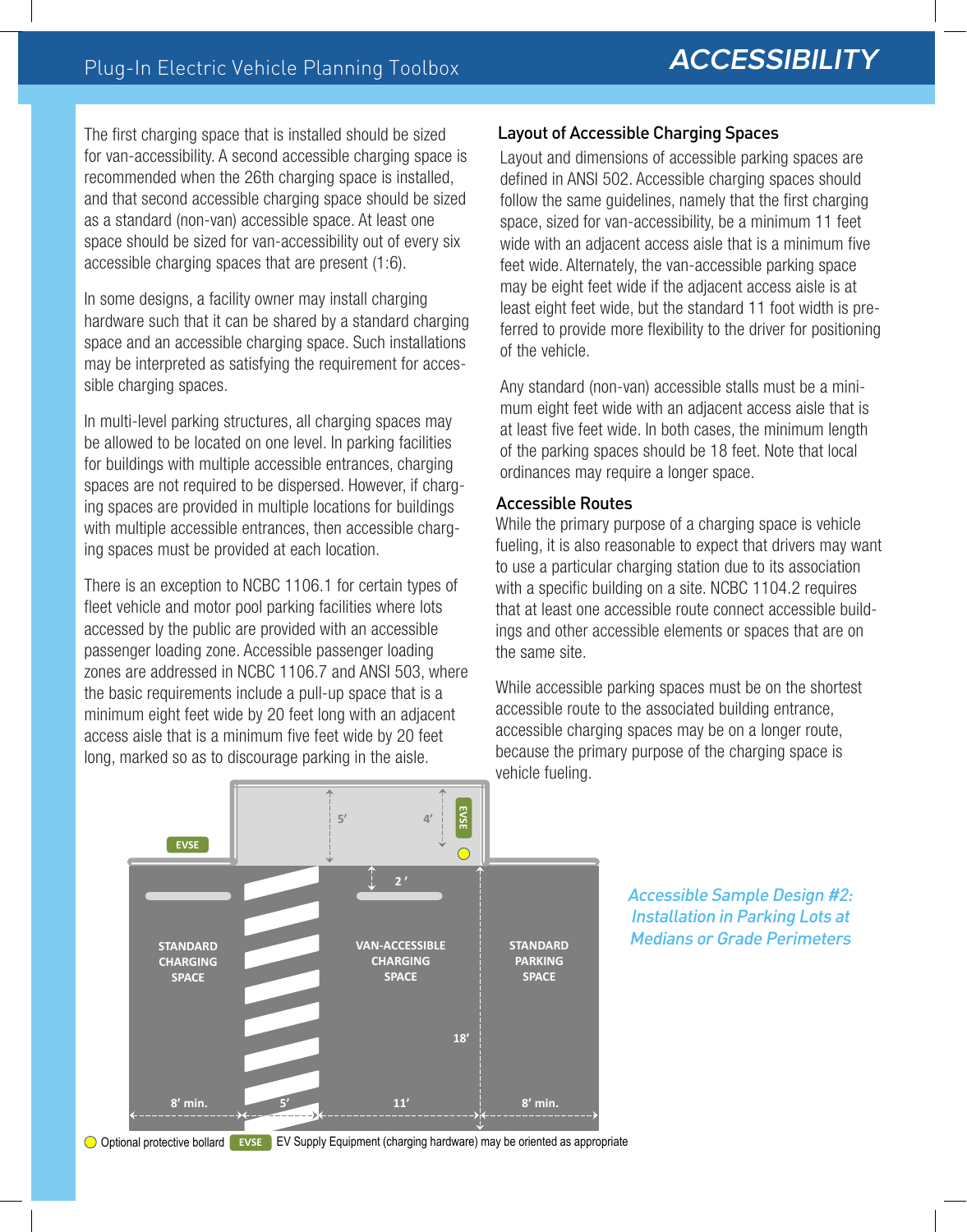The first charging space that is installed should be sized for van-accessibility. A second accessible charging space is recommended when the 26th charging space is installed, and that second accessible charging space should be sized as a standard (non-van) accessible space. At least one space should be sized for van-accessibility out of every six accessible charging spaces that are present (1:6).

In some designs, a facility owner may install charging hardware such that it can be shared by a standard charging space and an accessible charging space. Such installations may be interpreted as satisfying the requirement for accessible charging spaces.

In multi-level parking structures, all charging spaces may be allowed to be located on one level. In parking facilities for buildings with multiple accessible entrances, charging spaces are not required to be dispersed. However, if charging spaces are provided in multiple locations for buildings with multiple accessible entrances, then accessible charging spaces must be provided at each location.

There is an exception to NCBC 1106.1 for certain types of fleet vehicle and motor pool parking facilities where lots accessed by the public are provided with an accessible passenger loading zone. Accessible passenger loading zones are addressed in NCBC 1106.7 and ANSI 503, where the basic requirements include a pull-up space that is a minimum eight feet wide by 20 feet long with an adjacent access aisle that is a minimum five feet wide by 20 feet long, marked so as to discourage parking in the aisle.

#### Layout of Accessible Charging Spaces

Layout and dimensions of accessible parking spaces are defined in ANSI 502. Accessible charging spaces should follow the same guidelines, namely that the first charging space, sized for van-accessibility, be a minimum 11 feet wide with an adjacent access aisle that is a minimum five feet wide. Alternately, the van-accessible parking space may be eight feet wide if the adjacent access aisle is at least eight feet wide, but the standard 11 foot width is preferred to provide more flexibility to the driver for positioning of the vehicle.

Any standard (non-van) accessible stalls must be a minimum eight feet wide with an adjacent access aisle that is at least five feet wide. In both cases, the minimum length of the parking spaces should be 18 feet. Note that local ordinances may require a longer space.

#### Accessible Routes

While the primary purpose of a charging space is vehicle fueling, it is also reasonable to expect that drivers may want to use a particular charging station due to its association with a specific building on a site. NCBC 1104.2 requires that at least one accessible route connect accessible buildings and other accessible elements or spaces that are on the same site.

While accessible parking spaces must be on the shortest accessible route to the associated building entrance, accessible charging spaces may be on a longer route, because the primary purpose of the charging space is vehicle fueling.



Accessible Sample Design #2: Installation in Parking Lots at Medians or Grade Perimeters

Optional protective bollard **Exict B** EV Supply Equipment (charging hardware) may be oriented as appropriate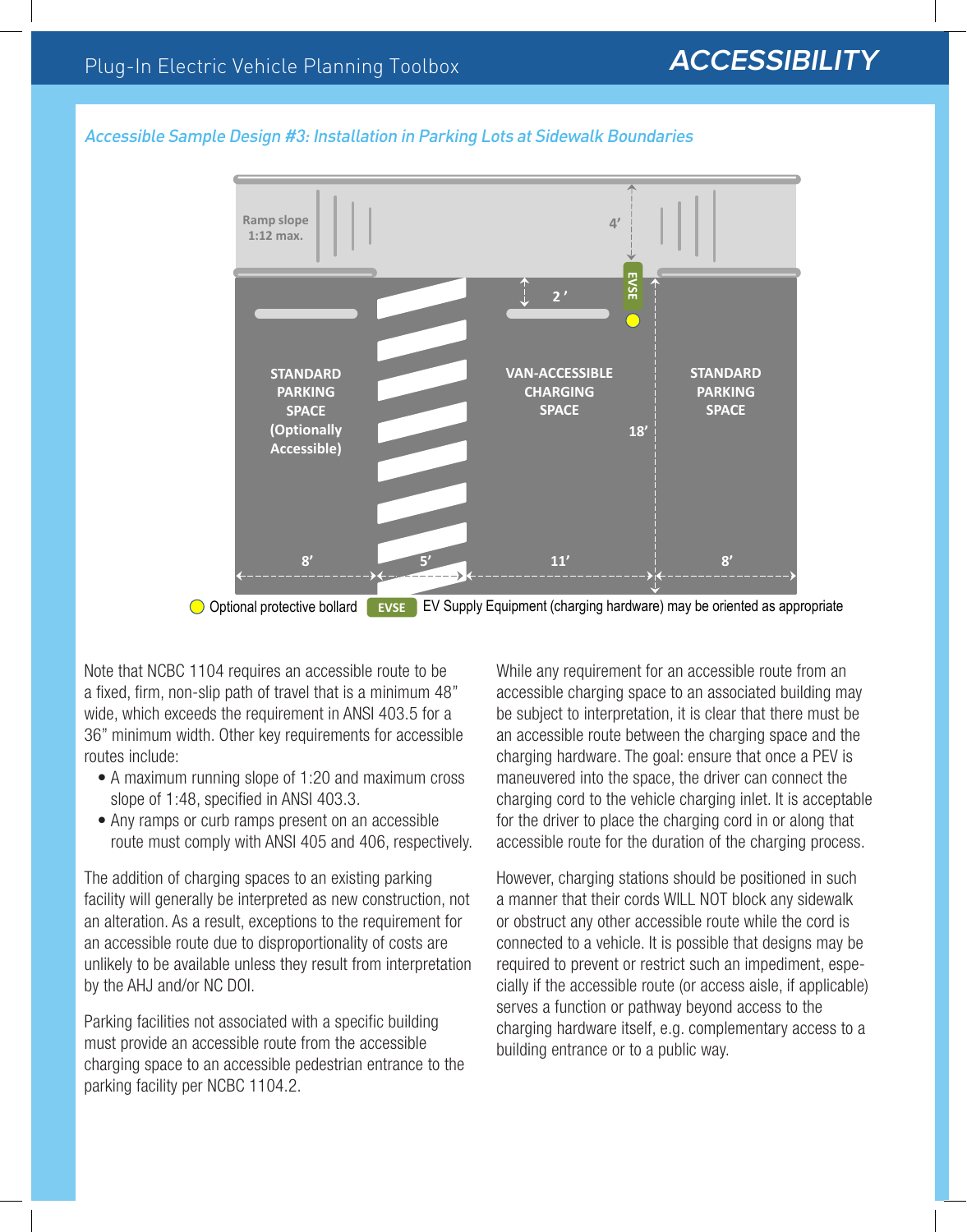#### Accessible Sample Design #3: Installation in Parking Lots at Sidewalk Boundaries



Optional protective bollard **EVSE** EV Supply Equipment (charging hardware) may be oriented as appropriate

Note that NCBC 1104 requires an accessible route to be a fixed, firm, non-slip path of travel that is a minimum 48" wide, which exceeds the requirement in ANSI 403.5 for a 36" minimum width. Other key requirements for accessible routes include:

- A maximum running slope of 1:20 and maximum cross slope of 1:48, specified in ANSI 403.3.
- Any ramps or curb ramps present on an accessible route must comply with ANSI 405 and 406, respectively.

The addition of charging spaces to an existing parking facility will generally be interpreted as new construction, not an alteration. As a result, exceptions to the requirement for an accessible route due to disproportionality of costs are unlikely to be available unless they result from interpretation by the AHJ and/or NC DOI.

Parking facilities not associated with a specific building must provide an accessible route from the accessible charging space to an accessible pedestrian entrance to the parking facility per NCBC 1104.2.

While any requirement for an accessible route from an accessible charging space to an associated building may be subject to interpretation, it is clear that there must be an accessible route between the charging space and the charging hardware. The goal: ensure that once a PEV is maneuvered into the space, the driver can connect the charging cord to the vehicle charging inlet. It is acceptable for the driver to place the charging cord in or along that accessible route for the duration of the charging process.

However, charging stations should be positioned in such a manner that their cords WILL NOT block any sidewalk or obstruct any other accessible route while the cord is connected to a vehicle. It is possible that designs may be required to prevent or restrict such an impediment, especially if the accessible route (or access aisle, if applicable) serves a function or pathway beyond access to the charging hardware itself, e.g. complementary access to a building entrance or to a public way.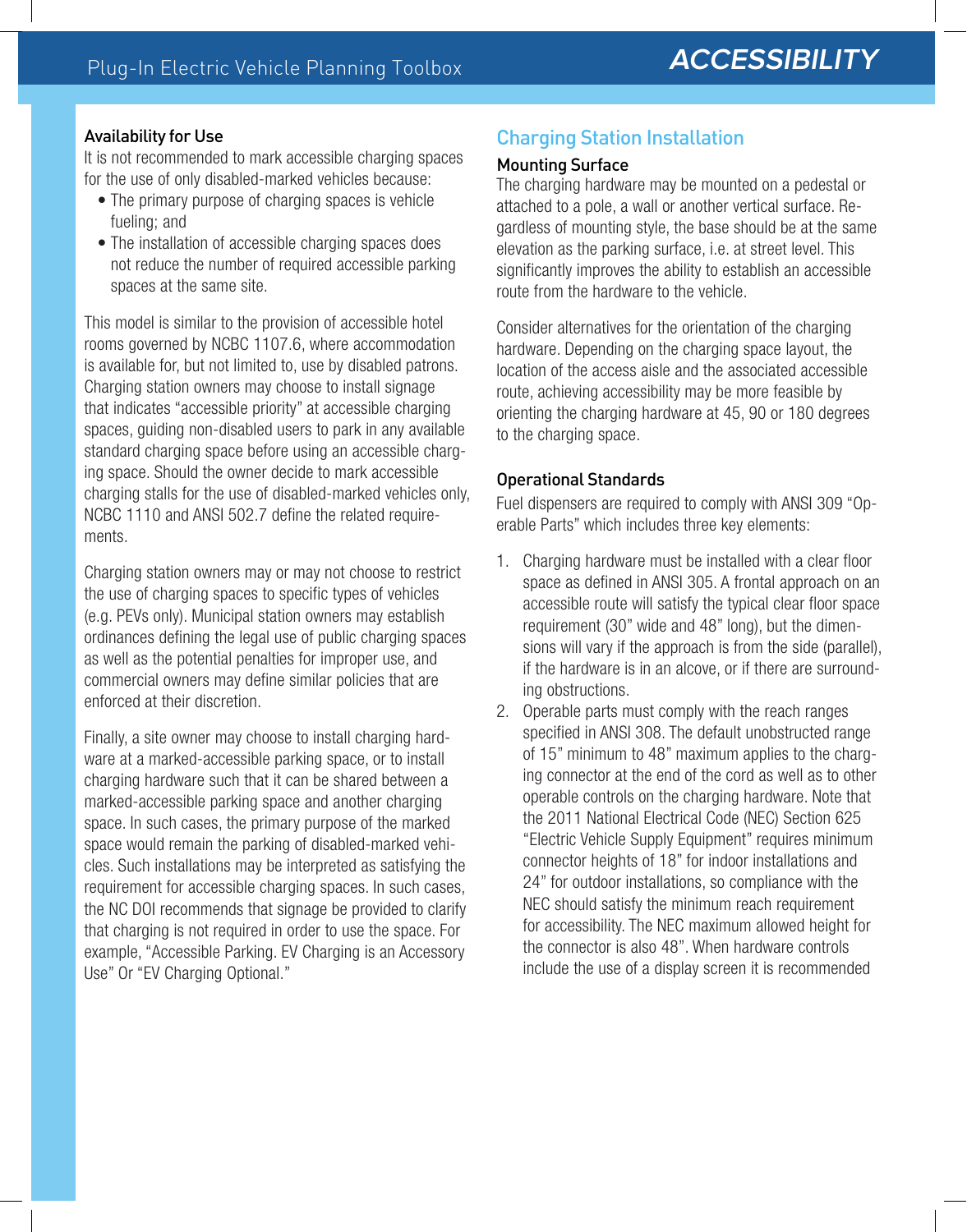#### Availability for Use

It is not recommended to mark accessible charging spaces for the use of only disabled-marked vehicles because:

- The primary purpose of charging spaces is vehicle fueling; and
- The installation of accessible charging spaces does not reduce the number of required accessible parking spaces at the same site.

This model is similar to the provision of accessible hotel rooms governed by NCBC 1107.6, where accommodation is available for, but not limited to, use by disabled patrons. Charging station owners may choose to install signage that indicates "accessible priority" at accessible charging spaces, guiding non-disabled users to park in any available standard charging space before using an accessible charging space. Should the owner decide to mark accessible charging stalls for the use of disabled-marked vehicles only, NCBC 1110 and ANSI 502.7 define the related requirements.

Charging station owners may or may not choose to restrict the use of charging spaces to specific types of vehicles (e.g. PEVs only). Municipal station owners may establish ordinances defining the legal use of public charging spaces as well as the potential penalties for improper use, and commercial owners may define similar policies that are enforced at their discretion.

Finally, a site owner may choose to install charging hardware at a marked-accessible parking space, or to install charging hardware such that it can be shared between a marked-accessible parking space and another charging space. In such cases, the primary purpose of the marked space would remain the parking of disabled-marked vehicles. Such installations may be interpreted as satisfying the requirement for accessible charging spaces. In such cases, the NC DOI recommends that signage be provided to clarify that charging is not required in order to use the space. For example, "Accessible Parking. EV Charging is an Accessory Use" Or "EV Charging Optional."

# Charging Station Installation

#### Mounting Surface

The charging hardware may be mounted on a pedestal or attached to a pole, a wall or another vertical surface. Regardless of mounting style, the base should be at the same elevation as the parking surface, i.e. at street level. This significantly improves the ability to establish an accessible route from the hardware to the vehicle.

Consider alternatives for the orientation of the charging hardware. Depending on the charging space layout, the location of the access aisle and the associated accessible route, achieving accessibility may be more feasible by orienting the charging hardware at 45, 90 or 180 degrees to the charging space.

### Operational Standards

Fuel dispensers are required to comply with ANSI 309 "Operable Parts" which includes three key elements:

- 1. Charging hardware must be installed with a clear floor space as defined in ANSI 305. A frontal approach on an accessible route will satisfy the typical clear floor space requirement (30" wide and 48" long), but the dimensions will vary if the approach is from the side (parallel), if the hardware is in an alcove, or if there are surrounding obstructions.
- 2. Operable parts must comply with the reach ranges specified in ANSI 308. The default unobstructed range of 15" minimum to 48" maximum applies to the charging connector at the end of the cord as well as to other operable controls on the charging hardware. Note that the 2011 National Electrical Code (NEC) Section 625 "Electric Vehicle Supply Equipment" requires minimum connector heights of 18" for indoor installations and 24" for outdoor installations, so compliance with the NEC should satisfy the minimum reach requirement for accessibility. The NEC maximum allowed height for the connector is also 48". When hardware controls include the use of a display screen it is recommended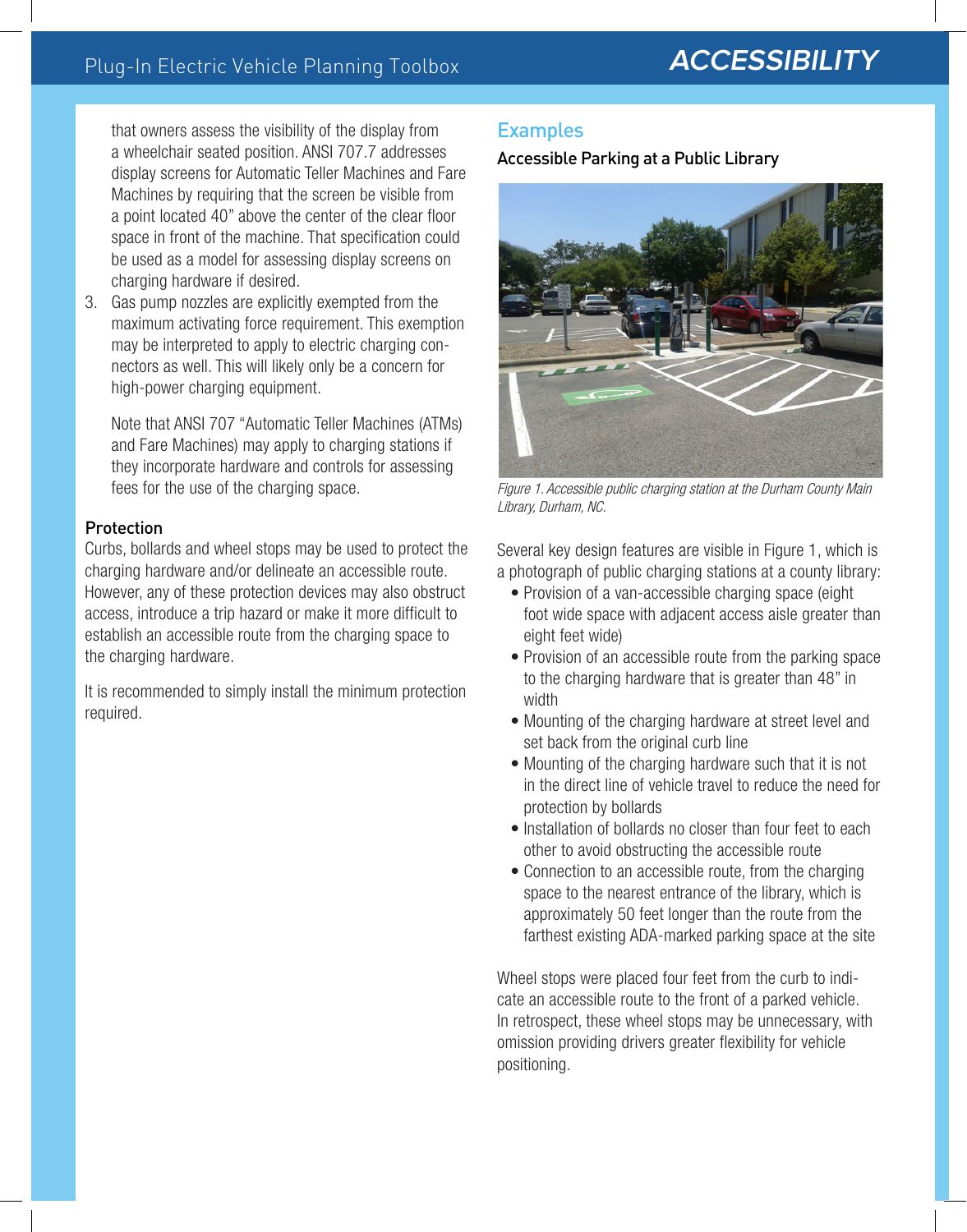that owners assess the visibility of the display from a wheelchair seated position. ANSI 707.7 addresses display screens for Automatic Teller Machines and Fare Machines by requiring that the screen be visible from a point located 40" above the center of the clear floor space in front of the machine. That specification could be used as a model for assessing display screens on charging hardware if desired.

3. Gas pump nozzles are explicitly exempted from the maximum activating force requirement. This exemption may be interpreted to apply to electric charging connectors as well. This will likely only be a concern for high-power charging equipment.

Note that ANSI 707 "Automatic Teller Machines (ATMs) and Fare Machines) may apply to charging stations if they incorporate hardware and controls for assessing fees for the use of the charging space.

#### **Protection**

Curbs, bollards and wheel stops may be used to protect the charging hardware and/or delineate an accessible route. However, any of these protection devices may also obstruct access, introduce a trip hazard or make it more difficult to establish an accessible route from the charging space to the charging hardware.

It is recommended to simply install the minimum protection required.

### Examples

Accessible Parking at a Public Library



Figure 1. Accessible public charging station at the Durham County Main Library, Durham, NC.

Several key design features are visible in Figure 1, which is a photograph of public charging stations at a county library:

- Provision of a van-accessible charging space (eight foot wide space with adjacent access aisle greater than eight feet wide)
- Provision of an accessible route from the parking space to the charging hardware that is greater than 48" in width
- Mounting of the charging hardware at street level and set back from the original curb line
- Mounting of the charging hardware such that it is not in the direct line of vehicle travel to reduce the need for protection by bollards
- Installation of bollards no closer than four feet to each other to avoid obstructing the accessible route
- Connection to an accessible route, from the charging space to the nearest entrance of the library, which is approximately 50 feet longer than the route from the farthest existing ADA-marked parking space at the site

Wheel stops were placed four feet from the curb to indicate an accessible route to the front of a parked vehicle. In retrospect, these wheel stops may be unnecessary, with omission providing drivers greater flexibility for vehicle positioning.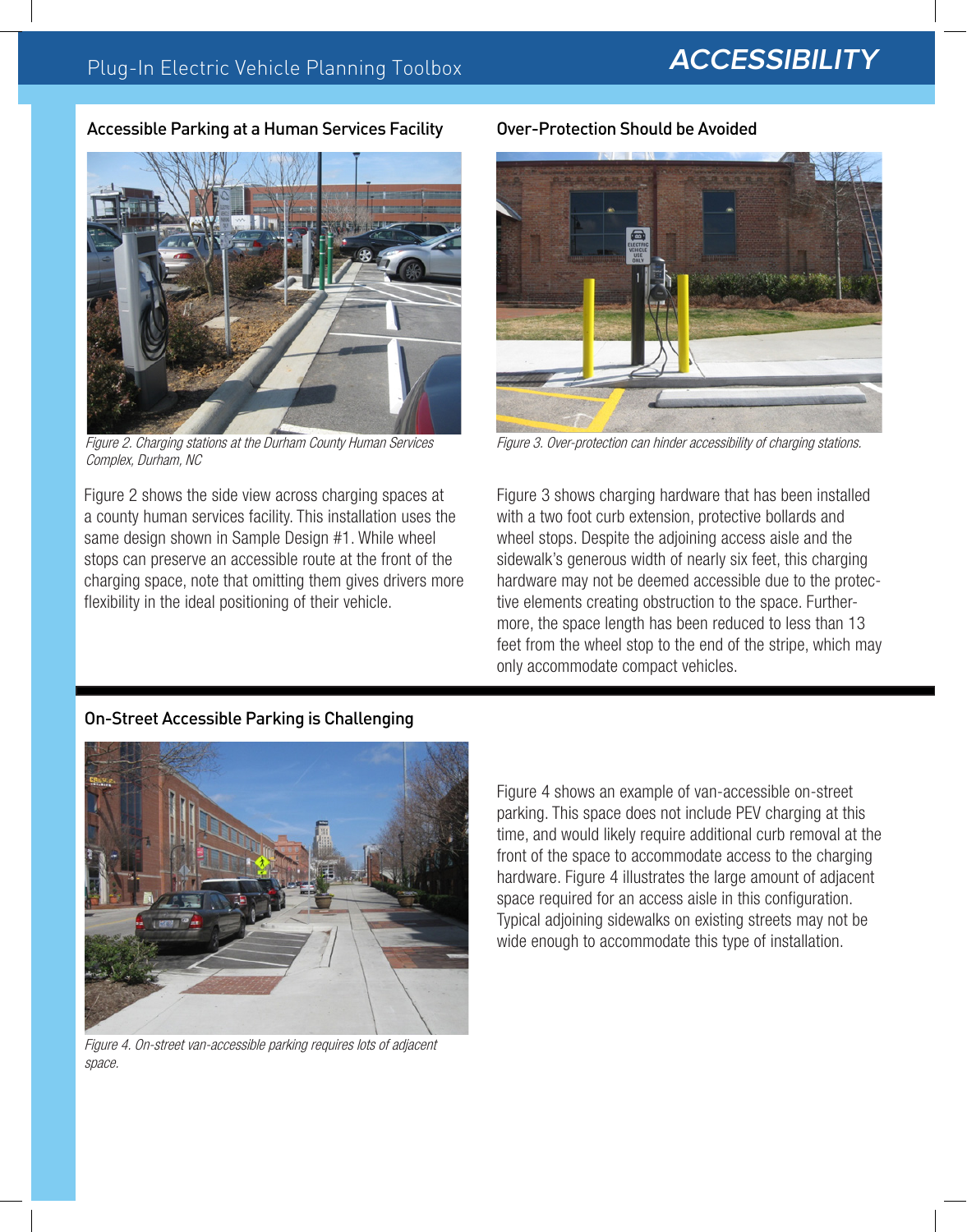#### Accessible Parking at a Human Services Facility



Figure 2. Charging stations at the Durham County Human Services Complex, Durham, NC

Figure 2 shows the side view across charging spaces at a county human services facility. This installation uses the same design shown in Sample Design #1. While wheel stops can preserve an accessible route at the front of the charging space, note that omitting them gives drivers more flexibility in the ideal positioning of their vehicle.

#### Over-Protection Should be Avoided



Figure 3. Over-protection can hinder accessibility of charging stations.

Figure 3 shows charging hardware that has been installed with a two foot curb extension, protective bollards and wheel stops. Despite the adjoining access aisle and the sidewalk's generous width of nearly six feet, this charging hardware may not be deemed accessible due to the protective elements creating obstruction to the space. Furthermore, the space length has been reduced to less than 13 feet from the wheel stop to the end of the stripe, which may only accommodate compact vehicles.

#### On-Street Accessible Parking is Challenging



Figure 4. On-street van-accessible parking requires lots of adjacent space.

Figure 4 shows an example of van-accessible on-street parking. This space does not include PEV charging at this time, and would likely require additional curb removal at the front of the space to accommodate access to the charging hardware. Figure 4 illustrates the large amount of adjacent space required for an access aisle in this configuration. Typical adjoining sidewalks on existing streets may not be wide enough to accommodate this type of installation.